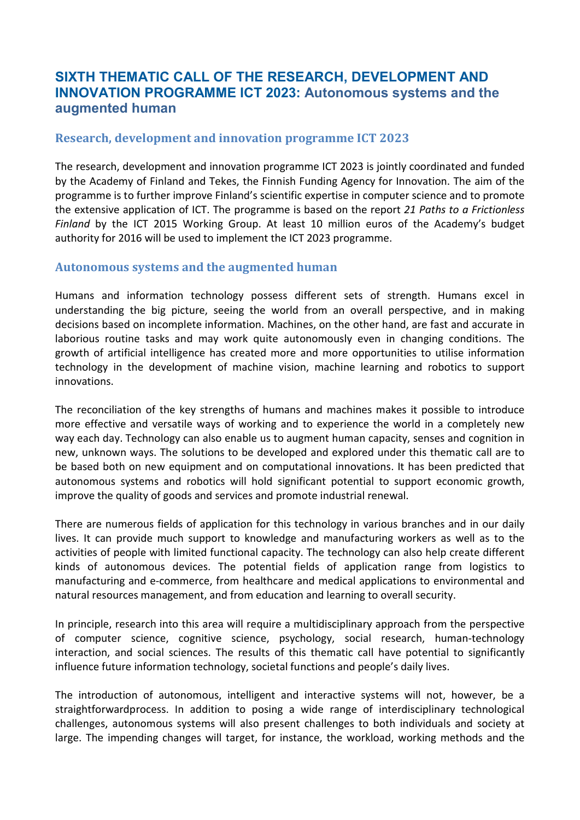# SIXTH THEMATIC CALL OF THE RESEARCH, DEVELOPMENT AND INNOVATION PROGRAMME ICT 2023: Autonomous systems and the augmented human

#### Research, development and innovation programme ICT 2023

The research, development and innovation programme ICT 2023 is jointly coordinated and funded by the Academy of Finland and Tekes, the Finnish Funding Agency for Innovation. The aim of the programme is to further improve Finland's scientific expertise in computer science and to promote the extensive application of ICT. The programme is based on the report 21 Paths to a Frictionless Finland by the ICT 2015 Working Group. At least 10 million euros of the Academy's budget authority for 2016 will be used to implement the ICT 2023 programme.

#### Autonomous systems and the augmented human

Humans and information technology possess different sets of strength. Humans excel in understanding the big picture, seeing the world from an overall perspective, and in making decisions based on incomplete information. Machines, on the other hand, are fast and accurate in laborious routine tasks and may work quite autonomously even in changing conditions. The growth of artificial intelligence has created more and more opportunities to utilise information technology in the development of machine vision, machine learning and robotics to support innovations.

The reconciliation of the key strengths of humans and machines makes it possible to introduce more effective and versatile ways of working and to experience the world in a completely new way each day. Technology can also enable us to augment human capacity, senses and cognition in new, unknown ways. The solutions to be developed and explored under this thematic call are to be based both on new equipment and on computational innovations. It has been predicted that autonomous systems and robotics will hold significant potential to support economic growth, improve the quality of goods and services and promote industrial renewal.

There are numerous fields of application for this technology in various branches and in our daily lives. It can provide much support to knowledge and manufacturing workers as well as to the activities of people with limited functional capacity. The technology can also help create different kinds of autonomous devices. The potential fields of application range from logistics to manufacturing and e-commerce, from healthcare and medical applications to environmental and natural resources management, and from education and learning to overall security.

In principle, research into this area will require a multidisciplinary approach from the perspective of computer science, cognitive science, psychology, social research, human-technology interaction, and social sciences. The results of this thematic call have potential to significantly influence future information technology, societal functions and people's daily lives.

The introduction of autonomous, intelligent and interactive systems will not, however, be a straightforwardprocess. In addition to posing a wide range of interdisciplinary technological challenges, autonomous systems will also present challenges to both individuals and society at large. The impending changes will target, for instance, the workload, working methods and the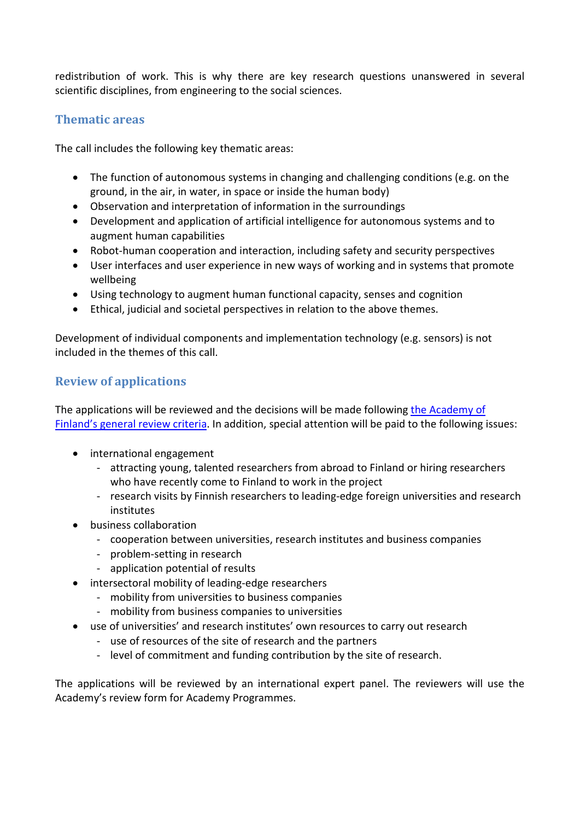redistribution of work. This is why there are key research questions unanswered in several scientific disciplines, from engineering to the social sciences.

## Thematic areas

The call includes the following key thematic areas:

- The function of autonomous systems in changing and challenging conditions (e.g. on the ground, in the air, in water, in space or inside the human body)
- Observation and interpretation of information in the surroundings
- Development and application of artificial intelligence for autonomous systems and to augment human capabilities
- Robot-human cooperation and interaction, including safety and security perspectives
- User interfaces and user experience in new ways of working and in systems that promote wellbeing
- Using technology to augment human functional capacity, senses and cognition
- Ethical, judicial and societal perspectives in relation to the above themes.

Development of individual components and implementation technology (e.g. sensors) is not included in the themes of this call.

#### Review of applications

The applications will be reviewed and the decisions will be made following the Academy of Finland's general review criteria. In addition, special attention will be paid to the following issues:

- international engagement
	- attracting young, talented researchers from abroad to Finland or hiring researchers who have recently come to Finland to work in the project
	- research visits by Finnish researchers to leading-edge foreign universities and research institutes
- business collaboration
	- cooperation between universities, research institutes and business companies
	- problem-setting in research
	- application potential of results
- intersectoral mobility of leading-edge researchers
	- mobility from universities to business companies
	- mobility from business companies to universities
- use of universities' and research institutes' own resources to carry out research
	- use of resources of the site of research and the partners
	- level of commitment and funding contribution by the site of research.

The applications will be reviewed by an international expert panel. The reviewers will use the Academy's review form for Academy Programmes.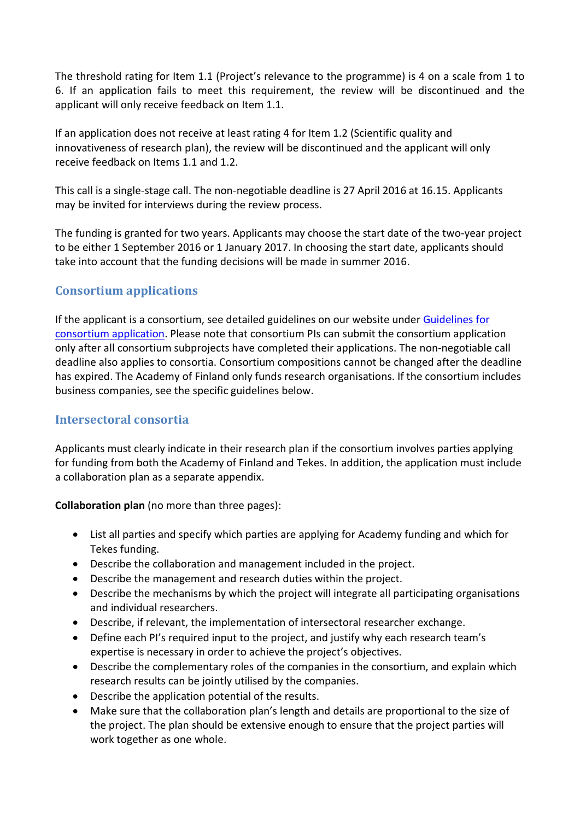The threshold rating for Item 1.1 (Project's relevance to the programme) is 4 on a scale from 1 to 6. If an application fails to meet this requirement, the review will be discontinued and the applicant will only receive feedback on Item 1.1.

If an application does not receive at least rating 4 for Item 1.2 (Scientific quality and innovativeness of research plan), the review will be discontinued and the applicant will only receive feedback on Items 1.1 and 1.2.

This call is a single-stage call. The non-negotiable deadline is 27 April 2016 at 16.15. Applicants may be invited for interviews during the review process.

The funding is granted for two years. Applicants may choose the start date of the two-year project to be either 1 September 2016 or 1 January 2017. In choosing the start date, applicants should take into account that the funding decisions will be made in summer 2016.

# Consortium applications

If the applicant is a consortium, see detailed guidelines on our website under Guidelines for consortium application. Please note that consortium PIs can submit the consortium application only after all consortium subprojects have completed their applications. The non-negotiable call deadline also applies to consortia. Consortium compositions cannot be changed after the deadline has expired. The Academy of Finland only funds research organisations. If the consortium includes business companies, see the specific guidelines below.

## Intersectoral consortia

Applicants must clearly indicate in their research plan if the consortium involves parties applying for funding from both the Academy of Finland and Tekes. In addition, the application must include a collaboration plan as a separate appendix.

Collaboration plan (no more than three pages):

- List all parties and specify which parties are applying for Academy funding and which for Tekes funding.
- Describe the collaboration and management included in the project.
- Describe the management and research duties within the project.
- Describe the mechanisms by which the project will integrate all participating organisations and individual researchers.
- Describe, if relevant, the implementation of intersectoral researcher exchange.
- Define each PI's required input to the project, and justify why each research team's expertise is necessary in order to achieve the project's objectives.
- Describe the complementary roles of the companies in the consortium, and explain which research results can be jointly utilised by the companies.
- Describe the application potential of the results.
- Make sure that the collaboration plan's length and details are proportional to the size of the project. The plan should be extensive enough to ensure that the project parties will work together as one whole.